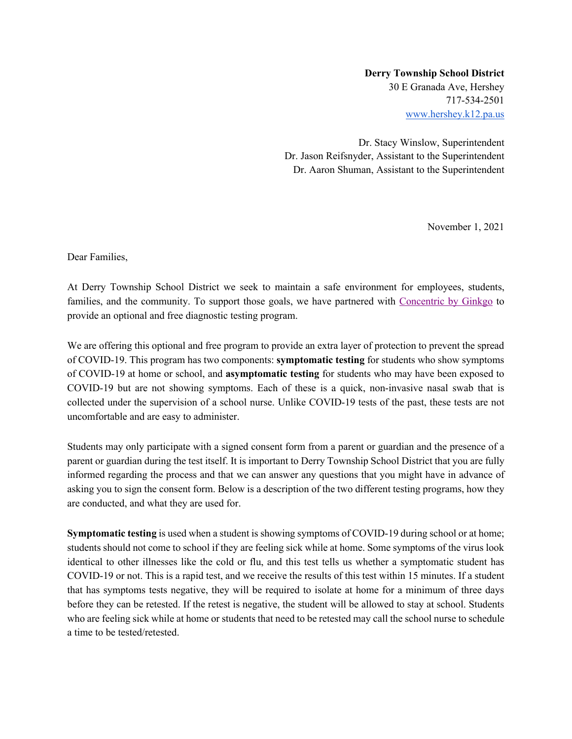## **Derry Township School District** 30 E Granada Ave, Hershey 717-534-2501 www.hershey.k12.pa.us

Dr. Stacy Winslow, Superintendent Dr. Jason Reifsnyder, Assistant to the Superintendent Dr. Aaron Shuman, Assistant to the Superintendent

November 1, 2021

Dear Families,

At Derry Township School District we seek to maintain a safe environment for employees, students, families, and the community. To support those goals, we have partnered with Concentric by Ginkgo to provide an optional and free diagnostic testing program.

We are offering this optional and free program to provide an extra layer of protection to prevent the spread of COVID-19. This program has two components: **symptomatic testing** for students who show symptoms of COVID-19 at home or school, and **asymptomatic testing** for students who may have been exposed to COVID-19 but are not showing symptoms. Each of these is a quick, non-invasive nasal swab that is collected under the supervision of a school nurse. Unlike COVID-19 tests of the past, these tests are not uncomfortable and are easy to administer.

Students may only participate with a signed consent form from a parent or guardian and the presence of a parent or guardian during the test itself. It is important to Derry Township School District that you are fully informed regarding the process and that we can answer any questions that you might have in advance of asking you to sign the consent form. Below is a description of the two different testing programs, how they are conducted, and what they are used for.

**Symptomatic testing** is used when a student is showing symptoms of COVID-19 during school or at home; students should not come to school if they are feeling sick while at home. Some symptoms of the virus look identical to other illnesses like the cold or flu, and this test tells us whether a symptomatic student has COVID-19 or not. This is a rapid test, and we receive the results of this test within 15 minutes. If a student that has symptoms tests negative, they will be required to isolate at home for a minimum of three days before they can be retested. If the retest is negative, the student will be allowed to stay at school. Students who are feeling sick while at home or students that need to be retested may call the school nurse to schedule a time to be tested/retested.